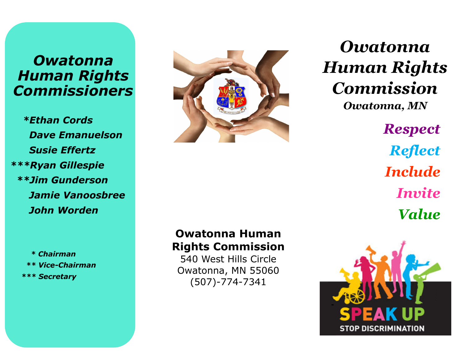# *Owatonna Human Rights Commissioners*

 *\*Ethan Cords Dave Emanuelson Susie Effertz \*\*\*Ryan Gillespie \*\*Jim Gunderson Jamie Vanoosbree John Worden*

 *\* Chairman \*\* Vice-Chairman \*\*\* Secretary* 



# **Owatonna Human Rights Commission**

540 West Hills Circle Owatonna, MN 55060 (507)-774-7341

*Owatonna Human Rights Commission Owatonna, MN Respect Reflect Include Invite Value*